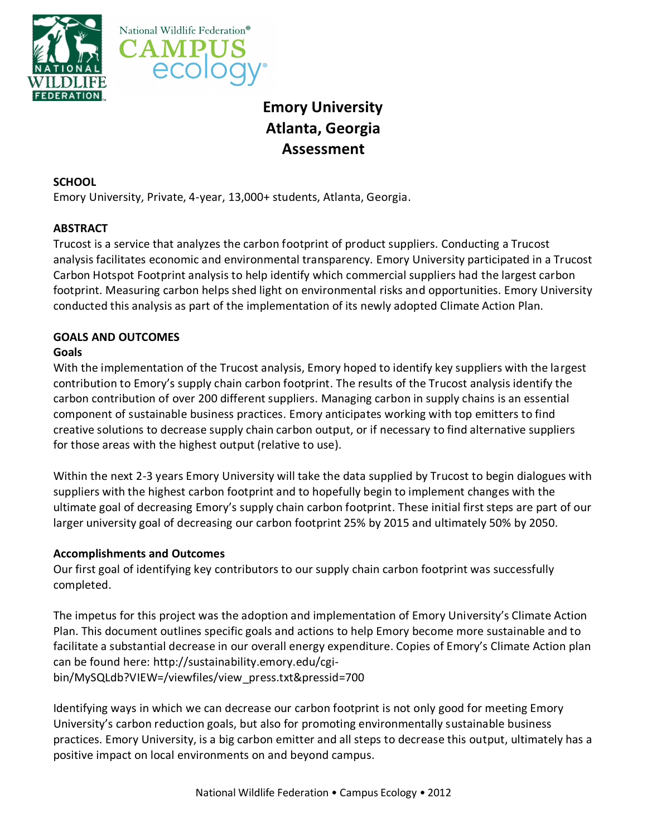



# **Emory University Atlanta, Georgia Assessment**

# **SCHOOL**

Emory University, Private, 4-year, 13,000+ students, Atlanta, Georgia.

# **ABSTRACT**

Trucost is a service that analyzes the carbon footprint of product suppliers. Conducting a Trucost analysis facilitates economic and environmental transparency. Emory University participated in a Trucost Carbon Hotspot Footprint analysis to help identify which commercial suppliers had the largest carbon footprint. Measuring carbon helps shed light on environmental risks and opportunities. Emory University conducted this analysis as part of the implementation of its newly adopted Climate Action Plan.

# **GOALS AND OUTCOMES**

# **Goals**

With the implementation of the Trucost analysis, Emory hoped to identify key suppliers with the largest contribution to Emory's supply chain carbon footprint. The results of the Trucost analysis identify the carbon contribution of over 200 different suppliers. Managing carbon in supply chains is an essential component of sustainable business practices. Emory anticipates working with top emitters to find creative solutions to decrease supply chain carbon output, or if necessary to find alternative suppliers for those areas with the highest output (relative to use).

Within the next 2-3 years Emory University will take the data supplied by Trucost to begin dialogues with suppliers with the highest carbon footprint and to hopefully begin to implement changes with the ultimate goal of decreasing Emory's supply chain carbon footprint. These initial first steps are part of our larger university goal of decreasing our carbon footprint 25% by 2015 and ultimately 50% by 2050.

## **Accomplishments and Outcomes**

Our first goal of identifying key contributors to our supply chain carbon footprint was successfully completed.

The impetus for this project was the adoption and implementation of Emory University's Climate Action Plan. This document outlines specific goals and actions to help Emory become more sustainable and to facilitate a substantial decrease in our overall energy expenditure. Copies of Emory's Climate Action plan can be found here: http://sustainability.emory.edu/cgibin/MySQLdb?VIEW=/viewfiles/view\_press.txt&pressid=700

Identifying ways in which we can decrease our carbon footprint is not only good for meeting Emory University's carbon reduction goals, but also for promoting environmentally sustainable business practices. Emory University, is a big carbon emitter and all steps to decrease this output, ultimately has a positive impact on local environments on and beyond campus.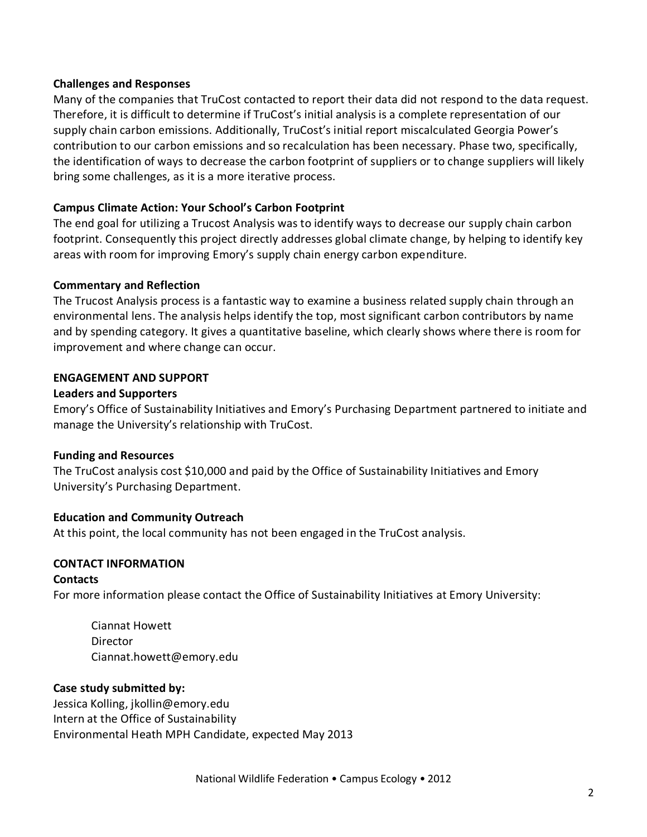#### **Challenges and Responses**

Many of the companies that TruCost contacted to report their data did not respond to the data request. Therefore, it is difficult to determine if TruCost's initial analysis is a complete representation of our supply chain carbon emissions. Additionally, TruCost's initial report miscalculated Georgia Power's contribution to our carbon emissions and so recalculation has been necessary. Phase two, specifically, the identification of ways to decrease the carbon footprint of suppliers or to change suppliers will likely bring some challenges, as it is a more iterative process.

#### **Campus Climate Action: Your School's Carbon Footprint**

The end goal for utilizing a Trucost Analysis was to identify ways to decrease our supply chain carbon footprint. Consequently this project directly addresses global climate change, by helping to identify key areas with room for improving Emory's supply chain energy carbon expenditure.

#### **Commentary and Reflection**

The Trucost Analysis process is a fantastic way to examine a business related supply chain through an environmental lens. The analysis helps identify the top, most significant carbon contributors by name and by spending category. It gives a quantitative baseline, which clearly shows where there is room for improvement and where change can occur.

#### **ENGAGEMENT AND SUPPORT**

#### **Leaders and Supporters**

Emory's Office of Sustainability Initiatives and Emory's Purchasing Department partnered to initiate and manage the University's relationship with TruCost.

#### **Funding and Resources**

The TruCost analysis cost \$10,000 and paid by the Office of Sustainability Initiatives and Emory University's Purchasing Department.

## **Education and Community Outreach**

At this point, the local community has not been engaged in the TruCost analysis.

## **CONTACT INFORMATION**

#### **Contacts**

For more information please contact the Office of Sustainability Initiatives at Emory University:

Ciannat Howett Director Ciannat.howet[t@emory.e](mailto:eweaver@emory.edu)du

#### **Case study submitted by:**

Jessica Kolling, [jkollin@emory.edu](mailto:jkollin@emry.edu) Intern at the Office of Sustainability Environmental Heath MPH Candidate, expected May 2013